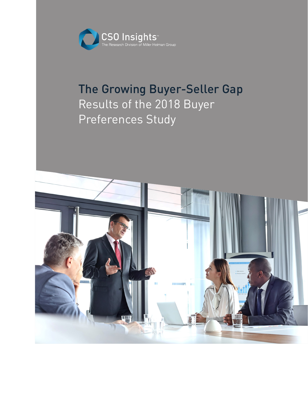

# The Growing Buyer-Seller Gap Results of the 2018 Buyer Preferences Study

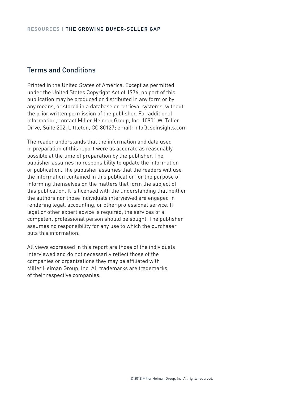# Terms and Conditions

Printed in the United States of America. Except as permitted under the United States Copyright Act of 1976, no part of this publication may be produced or distributed in any form or by any means, or stored in a database or retrieval systems, without the prior written permission of the publisher. For additional information, contact Miller Heiman Group, Inc. 10901 W. Toller Drive, Suite 202, Littleton, CO 80127; email: info@csoinsights.com

The reader understands that the information and data used in preparation of this report were as accurate as reasonably possible at the time of preparation by the publisher. The publisher assumes no responsibility to update the information or publication. The publisher assumes that the readers will use the information contained in this publication for the purpose of informing themselves on the matters that form the subject of this publication. It is licensed with the understanding that neither the authors nor those individuals interviewed are engaged in rendering legal, accounting, or other professional service. If legal or other expert advice is required, the services of a competent professional person should be sought. The publisher assumes no responsibility for any use to which the purchaser puts this information.

All views expressed in this report are those of the individuals interviewed and do not necessarily reflect those of the companies or organizations they may be affiliated with Miller Heiman Group, Inc. All trademarks are trademarks of their respective companies.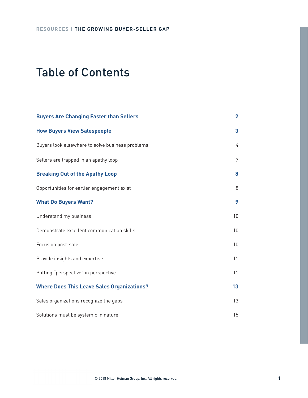# Table of Contents

| <b>Buyers Are Changing Faster than Sellers</b>    | $\overline{2}$ |
|---------------------------------------------------|----------------|
| <b>How Buyers View Salespeople</b>                | 3              |
| Buyers look elsewhere to solve business problems  | 4              |
| Sellers are trapped in an apathy loop             | 7              |
| <b>Breaking Out of the Apathy Loop</b>            | 8              |
| Opportunities for earlier engagement exist        | 8              |
| <b>What Do Buyers Want?</b>                       | 9              |
| Understand my business                            | 10             |
| Demonstrate excellent communication skills        | 10             |
| Focus on post-sale                                | 10             |
| Provide insights and expertise                    | 11             |
| Putting "perspective" in perspective              | 11             |
| <b>Where Does This Leave Sales Organizations?</b> | 13             |
| Sales organizations recognize the gaps            | 13             |
| Solutions must be systemic in nature              | 15             |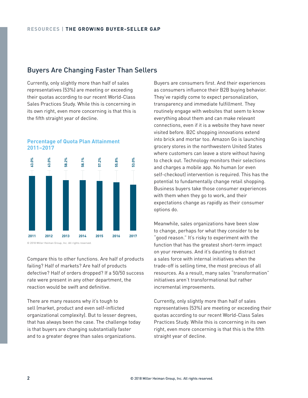# Buyers Are Changing Faster Than Sellers

Currently, only slightly more than half of sales representatives (53%) are meeting or exceeding their quotas according to our recent World-Class Sales Practices Study. While this is concerning in its own right, even more concerning is that this is the fifth straight year of decline.





© 2018 Miller Heiman Group, Inc. All rights reserved.

Compare this to other functions. Are half of products failing? Half of markets? Are half of products defective? Half of orders dropped? If a 50/50 success rate were present in any other department, the reaction would be swift and definitive.

There are many reasons why it's tough to sell (market, product and even self-inflicted organizational complexity). But to lesser degrees, that has always been the case. The challenge today is that buyers are changing substantially faster and to a greater degree than sales organizations.

Buyers are consumers first. And their experiences as consumers influence their B2B buying behavior. They've rapidly come to expect personalization, transparency and immediate fulfillment. They routinely engage with websites that seem to know everything about them and can make relevant connections, even if it is a website they have never visited before. B2C shopping innovations extend into brick and mortar too. Amazon Go is launching grocery stores in the northwestern United States where customers can leave a store without having to check out. Technology monitors their selections and charges a mobile app. No human (or even self-checkout) intervention is required. This has the potential to fundamentally change retail shopping. Business buyers take those consumer experiences with them when they go to work, and their expectations change as rapidly as their consumer options do.

Meanwhile, sales organizations have been slow to change, perhaps for what they consider to be "good reason." It's risky to experiment with the function that has the greatest short-term impact on your revenues. And it's daunting to distract a sales force with internal initiatives when the trade-off is selling time, the most precious of all resources. As a result, many sales "transformation" initiatives aren't transformational but rather incremental improvements.

Currently, only slightly more than half of sales representatives (53%) are meeting or exceeding their quotas according to our recent World-Class Sales Practices Study. While this is concerning in its own right, even more concerning is that this is the fifth straight year of decline.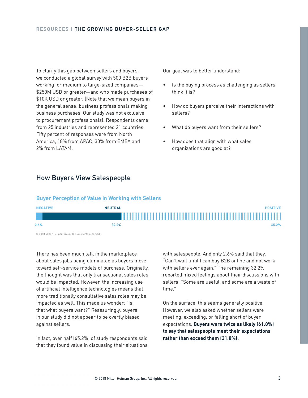To clarify this gap between sellers and buyers, we conducted a global survey with 500 B2B buyers working for medium to large-sized companies— \$250M USD or greater—and who made purchases of \$10K USD or greater. (Note that we mean buyers in the general sense: business professionals making business purchases. Our study was not exclusive to procurement professionals). Respondents came from 25 industries and represented 21 countries. Fifty percent of responses were from North America, 18% from APAC, 30% from EMEA and 2% from LATAM.

Our goal was to better understand:

- Is the buying process as challenging as sellers think it is?
- How do buyers perceive their interactions with sellers?
- What do buyers want from their sellers?
- How does that align with what sales organizations are good at?

# How Buyers View Salespeople

## **Buyer Perception of Value in Working with Sellers**



© 2018 Miller Heiman Group, Inc. All rights reserved.

There has been much talk in the marketplace about sales jobs being eliminated as buyers move toward self-service models of purchase. Originally, the thought was that only transactional sales roles would be impacted. However, the increasing use of artificial intelligence technologies means that more traditionally consultative sales roles may be impacted as well. This made us wonder: "Is that what buyers want?" Reassuringly, buyers in our study did not appear to be overtly biased against sellers.

In fact, over half (65.2%) of study respondents said that they found value in discussing their situations

with salespeople. And only 2.6% said that they, "Can't wait until I can buy B2B online and not work with sellers ever again." The remaining 32.2% reported mixed feelings about their discussions with sellers: "Some are useful, and some are a waste of time."

On the surface, this seems generally positive. However, we also asked whether sellers were meeting, exceeding, or falling short of buyer expectations. **Buyers were twice as likely (61.8%) to say that salespeople meet their expectations rather than exceed them (31.8%).**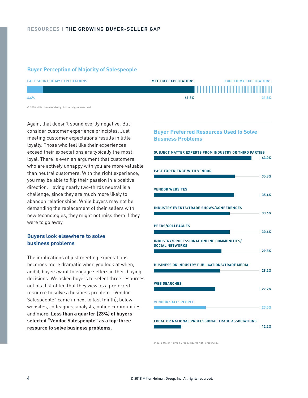## **Buyer Perception of Majority of Salespeople**

| <b>FALL SHORT OF MY EXPECTATIONS</b>                  | <b>MEET MY EXPECTATIONS</b> | <b>EXCEED MY EXPECTATIONS</b> |
|-------------------------------------------------------|-----------------------------|-------------------------------|
|                                                       |                             |                               |
| 6.4%                                                  | 61.8%                       | 31.8%                         |
| © 2018 Miller Heiman Group, Inc. All rights reserved. |                             |                               |

Again, that doesn't sound overtly negative. But consider customer experience principles. Just meeting customer expectations results in little loyalty. Those who feel like their experiences exceed their expectations are typically the most loyal. There is even an argument that customers who are actively unhappy with you are more valuable than neutral customers. With the right experience, you may be able to flip their passion in a positive direction. Having nearly two-thirds neutral is a challenge, since they are much more likely to abandon relationships. While buyers may not be demanding the replacement of their sellers with new technologies, they might not miss them if they were to go away.

## **Buyers look elsewhere to solve business problems**

The implications of just meeting expectations becomes more dramatic when you look at when, and if, buyers want to engage sellers in their buying decisions. We asked buyers to select three resources out of a list of ten that they view as a preferred resource to solve a business problem. "Vendor Salespeople" came in next to last (ninth), below websites, colleagues, analysts, online communities and more. **Less than a quarter (23%) of buyers selected "Vendor Salespeople" as a top-three resource to solve business problems.**

## **Buyer Preferred Resources Used to Solve Business Problems**

# **PAST EXPERIENCE WITH VENDOR SUBJECT MATTER EXPERTS FROM INDUSTRY OR THIRD PARTIES 43.0% 35.8% 35.4% 33.6% 30.4% 29.8% 29.2% 27.2% 23.0% 12.2% VENDOR WEBSITES INDUSTRY EVENTS/TRADE SHOWS/CONFERENCES PEERS/COLLEAGUES INDUSTRY/PROFESSIONAL ONLINE COMMUNITIES/ SOCIAL NETWORKS BUSINESS OR INDUSTRY PUBLICATIONS/TRADE MEDIA WEB SEARCHES VENDOR SALESPEOPLE LOCAL OR NATIONAL PROFESSIONAL TRADE ASSOCIATIONS**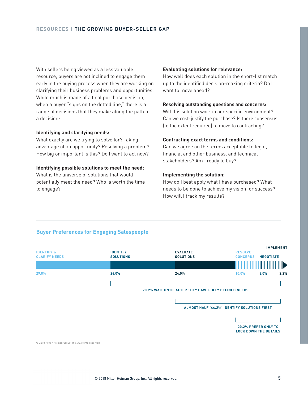## **RESOURCES | THE GROWING BUYER-SELLER GAP**

With sellers being viewed as a less valuable resource, buyers are not inclined to engage them early in the buying process when they are working on clarifying their business problems and opportunities. While much is made of a final purchase decision, when a buyer "signs on the dotted line," there is a range of decisions that they make along the path to a decision:

## **Identifying and clarifying needs:**

What exactly are we trying to solve for? Taking advantage of an opportunity? Resolving a problem? How big or important is this? Do I want to act now?

#### **Identifying possible solutions to meet the need:**

What is the universe of solutions that would potentially meet the need? Who is worth the time to engage?

## **Evaluating solutions for relevance:**

How well does each solution in the short-list match up to the identified decision-making criteria? Do I want to move ahead?

## **Resolving outstanding questions and concerns:**

Will this solution work in our specific environment? Can we cost-justify the purchase? Is there consensus (to the extent required) to move to contracting?

## **Contracting exact terms and conditions:**

Can we agree on the terms acceptable to legal, financial and other business, and technical stakeholders? Am I ready to buy?

## **Implementing the solution:**

How do I best apply what I have purchased? What needs to be done to achieve my vision for success? How will I track my results?



# **Buyer Preferences for Engaging Salespeople**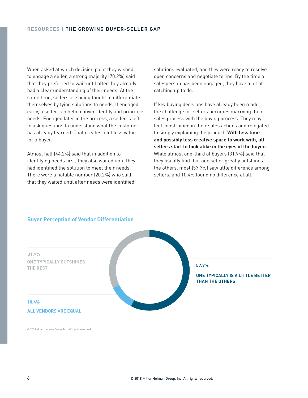When asked at which decision point they wished to engage a seller, a strong majority (70.2%) said that they preferred to wait until after they already had a clear understanding of their needs. At the same time, sellers are being taught to differentiate themselves by tying solutions to needs. If engaged early, a seller can help a buyer identify and prioritize needs. Engaged later in the process, a seller is left to ask questions to understand what the customer has already learned. That creates a lot less value for a buyer.

Almost half (44.2%) said that in addition to identifying needs first, they also waited until they had identified the solution to meet their needs. There were a notable number (20.2%) who said that they waited until after needs were identified, solutions evaluated, and they were ready to resolve open concerns and negotiate terms. By the time a salesperson has been engaged, they have a lot of catching up to do.

If key buying decisions have already been made, the challenge for sellers becomes marrying their sales process with the buying process. They may feel constrained in their sales actions and relegated to simply explaining the product. **With less time and possibly less creative space to work with, all sellers start to look alike in the eyes of the buyer.** While almost one-third of buyers (31.9%) said that they usually find that one seller greatly outshines the others, most (57.7%) saw little difference among sellers, and 10.4% found no difference at all.



## **Buyer Perception of Vendor Differentiation**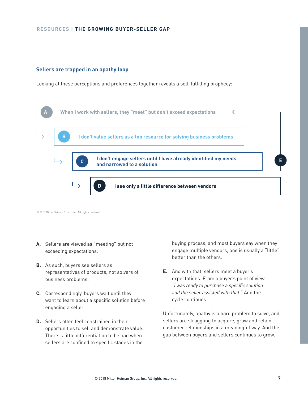## **RESOURCES | THE GROWING BUYER-SELLER GAP**

## **Sellers are trapped in an apathy loop**

Looking at these perceptions and preferences together reveals a self-fulfilling prophecy:



© 2018 Miller Heiman Group, Inc. All rights reserved.

- **A.** Sellers are viewed as "meeting" but not exceeding expectations.
- **B.** As such, buyers see sellers as representatives of products, not solvers of business problems.
- **C.** Correspondingly, buyers wait until they want to learn about a specific solution before engaging a seller.
- **D.** Sellers often feel constrained in their opportunities to sell and demonstrate value. There is little differentiation to be had when sellers are confined to specific stages in the

buying process, and most buyers say when they engage multiple vendors, one is usually a "little" better than the others.

**E.** And with that, sellers meet a buyer's expectations. From a buyer's point of view, "I was ready to purchase a specific solution and the seller assisted with that." And the cycle continues.

Unfortunately, apathy is a hard problem to solve, and sellers are struggling to acquire, grow and retain customer relationships in a meaningful way. And the gap between buyers and sellers continues to grow.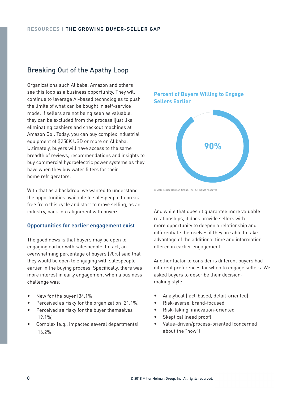# Breaking Out of the Apathy Loop

Organizations such Alibaba, Amazon and others see this loop as a business opportunity. They will continue to leverage AI-based technologies to push the limits of what can be bought in self-service mode. If sellers are not being seen as valuable, they can be excluded from the process (just like eliminating cashiers and checkout machines at Amazon Go). Today, you can buy complex industrial equipment of \$250K USD or more on Alibaba. Ultimately, buyers will have access to the same breadth of reviews, recommendations and insights to buy commercial hydroelectric power systems as they have when they buy water filters for their home refrigerators.

With that as a backdrop, we wanted to understand the opportunities available to salespeople to break free from this cycle and start to move selling, as an industry, back into alignment with buyers.

## **Opportunities for earlier engagement exist**

The good news is that buyers may be open to engaging earlier with salespeople. In fact, an overwhelming percentage of buyers (90%) said that they would be open to engaging with salespeople earlier in the buying process. Specifically, there was more interest in early engagement when a business challenge was:

- New for the buyer (34.1%)
- Perceived as risky for the organization (21.1%)
- Perceived as risky for the buyer themselves  $[19.1%]$
- Complex (e.g., impacted several departments) (16.2%)

**Percent of Buyers Willing to Engage Sellers Earlier**



© 2018 Miller Heiman Group, Inc. All rights reserved.

And while that doesn't guarantee more valuable relationships, it does provide sellers with more opportunity to deepen a relationship and differentiate themselves if they are able to take advantage of the additional time and information offered in earlier engagement.

Another factor to consider is different buyers had different preferences for when to engage sellers. We asked buyers to describe their decisionmaking style:

- Analytical (fact-based, detail-oriented)
- Risk-averse, brand-focused
- Risk-taking, innovation-oriented
- Skeptical (need proof)
- Value-driven/process-oriented (concerned about the "how")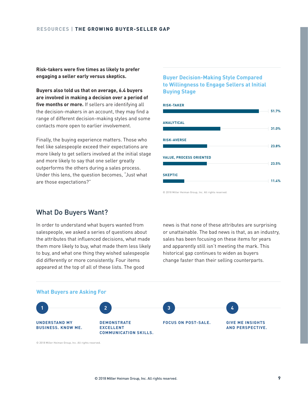**Risk-takers were five times as likely to prefer engaging a seller early versus skeptics.**

**Buyers also told us that on average, 6.4 buyers are involved in making a decision over a period of five months or more.** If sellers are identifying all the decision-makers in an account, they may find a range of different decision-making styles and some contacts more open to earlier involvement.

Finally, the buying experience matters. Those who feel like salespeople exceed their expectations are more likely to get sellers involved at the initial stage and more likely to say that one seller greatly outperforms the others during a sales process. Under this lens, the question becomes, "Just what are those expectations?"

# **Buyer Decision-Making Style Compared to Willingness to Engage Sellers at Initial Buying Stage**



© 2018 Miller Heiman Group, Inc. All rights reserved.

# What Do Buyers Want?

In order to understand what buyers wanted from salespeople, we asked a series of questions about the attributes that influenced decisions, what made them more likely to buy, what made them less likely to buy, and what one thing they wished salespeople did differently or more consistently. Four items appeared at the top of all of these lists. The good

news is that none of these attributes are surprising or unattainable. The bad news is that, as an industry, sales has been focusing on these items for years and apparently still isn't meeting the mark. This historical gap continues to widen as buyers change faster than their selling counterparts.

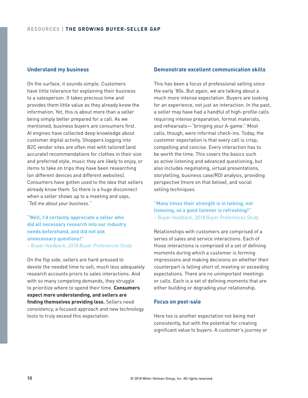## **Understand my business**

On the surface, it sounds simple. Customers have little tolerance for explaining their business to a salesperson. It takes precious time and provides them little value as they already know the information. Yet, this is about more than a seller being simply better prepared for a call. As we mentioned, business buyers are consumers first. AI engines have collected deep knowledge about customer digital activity. Shoppers logging into B2C vendor sites are often met with tailored (and accurate) recommendations for clothes in their size and preferred style, music they are likely to enjoy, or items to take on trips they have been researching (on different devices and different websites). Consumers have gotten used to the idea that sellers already know them. So there is a huge disconnect when a seller shows up to a meeting and says, "Tell me about your business."

**"Well, I'd certainly appreciate a seller who did all necessary research into our industry needs beforehand, and did not ask unnecessary questions!"**

– Buyer feedback, 2018 Buyer Preferences Study

On the flip side, sellers are hard-pressed to devote the needed time to sell, much less adequately research accounts priors to sales interactions. And with so many competing demands, they struggle to prioritize where to spend their time. **Consumers expect more understanding, and sellers are finding themselves providing less.** Sellers need consistency, a focused approach and new technology tools to truly exceed this expectation.

## **Demonstrate excellent communication skills**

This has been a focus of professional selling since the early '80s. But again, we are talking about a much more intense expectation. Buyers are looking for an experience, not just an interaction. In the past, a seller may have had a handful of high-profile calls requiring intense preparation, formal materials, and rehearsals—"bringing your A-game." Most calls, though, were informal check-ins. Today, the customer expectation is that every call is crisp, compelling and concise. Every interaction has to be worth the time. This covers the basics such as active listening and advanced questioning, but also includes negotiating, virtual presentations, storytelling, business case/ROI analysis, providing perspective (more on that below), and social selling techniques.

# **"Many times their strength is in talking, not listening, so a good listener is refreshing!"** – Buyer feedback, 2018 Buyer Preferences Study

Relationships with customers are comprised of a series of sales and service interactions. Each of those interactions is comprised of a set of defining moments during which a customer is forming impressions and making decisions on whether their counterpart is falling short of, meeting or exceeding expectations. There are no unimportant meetings or calls. Each is a set of defining moments that are either building or degrading your relationship.

### **Focus on post-sale**

Here too is another expectation not being met consistently, but with the potential for creating significant value to buyers. A customer's journey or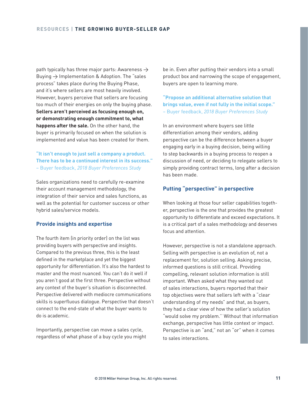path typically has three major parts: Awareness  $\rightarrow$ Buying  $\rightarrow$  Implementation & Adoption. The "sales process" takes place during the Buying Phase, and it's where sellers are most heavily involved. However, buyers perceive that sellers are focusing too much of their energies on only the buying phase. **Sellers aren't perceived as focusing enough on, or demonstrating enough commitment to, what happens after the sale.** On the other hand, the buyer is primarily focused on when the solution is implemented and value has been created for them.

## **"It isn't enough to just sell a company a product. There has to be a continued interest in its success."** – Buyer feedback, 2018 Buyer Preferences Study

Sales organizations need to carefully re-examine their account management methodology, the integration of their service and sales functions, as well as the potential for customer success or other hybrid sales/service models.

## **Provide insights and expertise**

The fourth item (in priority order) on the list was providing buyers with perspective and insights. Compared to the previous three, this is the least defined in the marketplace and yet the biggest opportunity for differentiation. It's also the hardest to master and the most nuanced. You can't do it well if you aren't good at the first three. Perspective without any context of the buyer's situation is disconnected. Perspective delivered with mediocre communications skills is superfluous dialogue. Perspective that doesn't connect to the end-state of what the buyer wants to do is academic.

Importantly, perspective can move a sales cycle, regardless of what phase of a buy cycle you might be in. Even after putting their vendors into a small product box and narrowing the scope of engagement, buyers are open to learning more.

**"Propose an additional alternative solution that brings value, even if not fully in the initial scope."** – Buyer feedback, 2018 Buyer Preferences Study

In an environment where buyers see little differentiation among their vendors, adding perspective can be the difference between a buyer engaging early in a buying decision, being willing to step backwards in a buying process to reopen a discussion of need, or deciding to relegate sellers to simply providing contract terms, long after a decision has been made.

# **Putting "perspective" in perspective**

When looking at those four seller capabilities together, perspective is the one that provides the greatest opportunity to differentiate and exceed expectations. It is a critical part of a sales methodology and deserves focus and attention.

However, perspective is not a standalone approach. Selling with perspective is an evolution of, not a replacement for, solution selling. Asking precise, informed questions is still critical. Providing compelling, relevant solution information is still important. When asked what they wanted out of sales interactions, buyers reported that their top objectives were that sellers left with a "clear understanding of my needs" and that, as buyers, they had a clear view of how the seller's solution "would solve my problem.'' Without that information exchange, perspective has little context or impact. Perspective is an "and," not an "or" when it comes to sales interactions.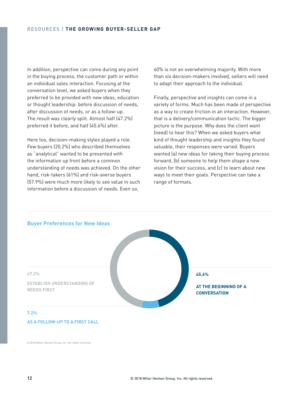In addition, perspective can come during any point in the buying process, the customer path or within an individual sales interaction. Focusing at the conversation level, we asked buyers when they preferred to be provided with new ideas, education or thought leadership: before discussion of needs, after discussion of needs, or as a follow-up. The result was clearly split. Almost half (47.2%) preferred it before, and half (45.6%) after.

Here too, decision-making styles played a role. Few buyers (20.2%) who described themselves as "analytical" wanted to be presented with the information up front before a common understanding of needs was achieved. On the other hand, risk-takers (61%) and risk-averse buyers (57.9%) were much more likely to see value in such information before a discussion of needs. Even so,

60% is not an overwhelming majority. With more than six decision-makers involved, sellers will need to adapt their approach to the individual.

Finally, perspective and insights can come in a variety of forms. Much has been made of perspective as a way to create friction in an interaction. However, that is a delivery/communication tactic. The bigger picture is the purpose. Why does the client want (need) to hear this? When we asked buyers what kind of thought leadership and insights they found valuable, their responses were varied. Buyers wanted (a) new ideas for taking their buying process forward, (b) someone to help them shape a new vision for their success, and (c) to learn about new ways to meet their goals. Perspective can take a range of formats.

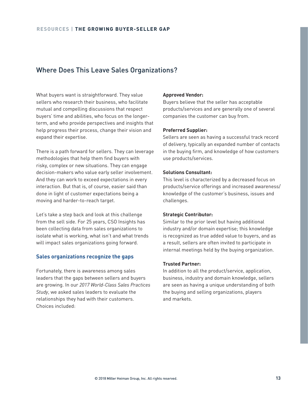# Where Does This Leave Sales Organizations?

What buyers want is straightforward. They value sellers who research their business, who facilitate mutual and compelling discussions that respect buyers' time and abilities, who focus on the longerterm, and who provide perspectives and insights that help progress their process, change their vision and expand their expertise.

There is a path forward for sellers. They can leverage methodologies that help them find buyers with risky, complex or new situations. They can engage decision-makers who value early seller involvement. And they can work to exceed expectations in every interaction. But that is, of course, easier said than done in light of customer expectations being a moving and harder-to-reach target.

Let's take a step back and look at this challenge from the sell side. For 25 years, CSO Insights has been collecting data from sales organizations to isolate what is working, what isn't and what trends will impact sales organizations going forward.

## **Sales organizations recognize the gaps**

Fortunately, there is awareness among sales leaders that the gaps between sellers and buyers are growing. In our 2017 World-Class Sales Practices Study, we asked sales leaders to evaluate the relationships they had with their customers. Choices included:

## **Approved Vendor:**

Buyers believe that the seller has acceptable products/services and are generally one of several companies the customer can buy from.

## **Preferred Supplier:**

Sellers are seen as having a successful track record of delivery, typically an expanded number of contacts in the buying firm, and knowledge of how customers use products/services.

## **Solutions Consultant:**

This level is characterized by a decreased focus on products/service offerings and increased awareness/ knowledge of the customer's business, issues and challenges.

#### **Strategic Contributor:**

Similar to the prior level but having additional industry and/or domain expertise; this knowledge is recognized as true added value to buyers, and as a result, sellers are often invited to participate in internal meetings held by the buying organization.

## **Trusted Partner:**

In addition to all the product/service, application, business, industry and domain knowledge, sellers are seen as having a unique understanding of both the buying and selling organizations, players and markets.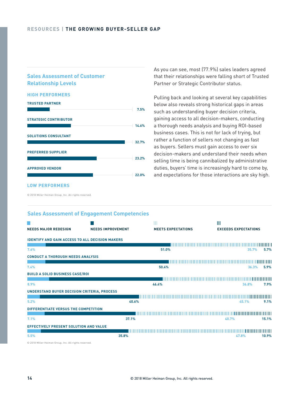## **Sales Assessment of Customer Relationship Levels**

#### **HIGH PERFORMERS**



As you can see, most (77.9%) sales leaders agreed that their relationships were falling short of Trusted Partner or Strategic Contributor status.

Pulling back and looking at several key capabilities below also reveals strong historical gaps in areas such as understanding buyer decision criteria, gaining access to all decision-makers, conducting a thorough needs analysis and buying ROI-based business cases. This is not for lack of trying, but rather a function of sellers not changing as fast as buyers. Sellers must gain access to over six decision-makers and understand their needs when selling time is being cannibalized by administrative duties, buyers' time is increasingly hard to come by, and expectations for those interactions are sky high.

## **LOW PERFORMERS**

© 2018 Miller Heiman Group, Inc. All rights reserved.

| <b>NEEDS MAJOR REDESIGN</b>                            | <b>NEEDS IMPROVEMENT</b> | Ш<br><b>MEETS EXPECTATIONS</b> | Ш<br><b>EXCEEDS EXPECTATIONS</b> |                          |                    |
|--------------------------------------------------------|--------------------------|--------------------------------|----------------------------------|--------------------------|--------------------|
| <b>IDENTIFY AND GAIN ACCESS TO ALL DECISION MAKERS</b> |                          |                                |                                  |                          |                    |
| 7.6%                                                   |                          | 51.0%                          |                                  | 35.7%                    | ШШ<br>5.7%         |
| <b>CONDUCT A THOROUGH NEEDS ANALYSIS</b>               |                          |                                |                                  |                          |                    |
| 7.4%                                                   |                          | 50.4%                          |                                  | 36.3%                    | '''''''<br>5.9%    |
| <b>BUILD A SOLID BUSINESS CASE/ROI</b>                 |                          |                                |                                  |                          |                    |
| 8.9%                                                   |                          | 46.4%                          |                                  | ,,,,,,,,,,,,,,,<br>36.8% | 7.9%               |
| UNDERSTAND BUYER DECISION CRITERIA, PROCESS            |                          |                                |                                  |                          |                    |
| 5.2%                                                   | 40.6%                    |                                |                                  | 45.1%                    | 1111111111<br>9.1% |
| DIFFERENTIATE VERSUS THE COMPETITION                   |                          |                                |                                  |                          |                    |
| 7.1%                                                   | 37.1%                    |                                | 40.7%                            |                          | '''''''<br>15.1%   |
| EFFECTIVELY PRESENT SOLUTION AND VALUE                 |                          |                                |                                  |                          |                    |
| 5.5%                                                   | 35.8%                    |                                |                                  | 47.8%                    | ШШШ<br>10.9%       |

# **Sales Assessment of Engagement Competencies**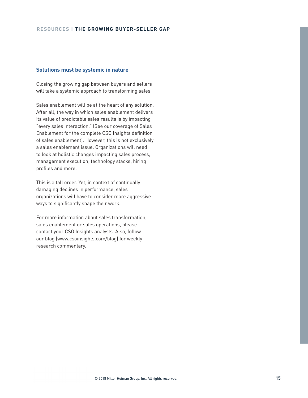## **Solutions must be systemic in nature**

Closing the growing gap between buyers and sellers will take a systemic approach to transforming sales.

Sales enablement will be at the heart of any solution. After all, the way in which sales enablement delivers its value of predictable sales results is by impacting "every sales interaction." (See our coverage of Sales Enablement for the complete CSO Insights definition of sales enablement). However, this is not exclusively a sales enablement issue. Organizations will need to look at holistic changes impacting sales process, management execution, technology stacks, hiring profiles and more.

This is a tall order. Yet, in context of continually damaging declines in performance, sales organizations will have to consider more aggressive ways to significantly shape their work.

For more information about sales transformation, sales enablement or sales operations, please contact your CSO Insights analysts. Also, follow our blog (www.csoinsights.com/blog) for weekly research commentary.